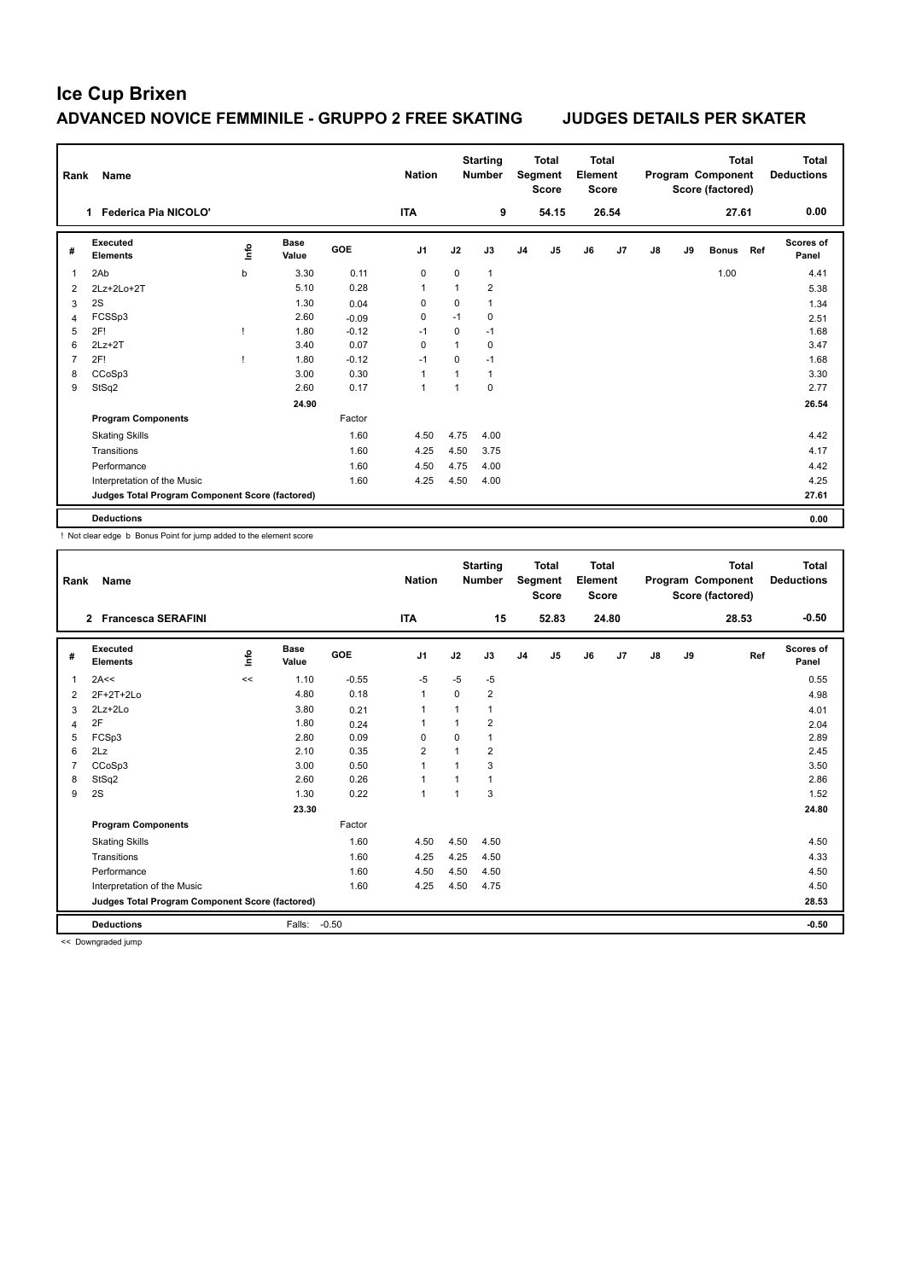| Rank           | <b>Name</b>                                     |      |                      |         | <b>Nation</b>  |          | <b>Starting</b><br><b>Number</b> |                | <b>Total</b><br>Segment<br><b>Score</b> | Total<br>Element<br><b>Score</b> |       |               |    | Total<br>Program Component<br>Score (factored) |     | Total<br><b>Deductions</b> |
|----------------|-------------------------------------------------|------|----------------------|---------|----------------|----------|----------------------------------|----------------|-----------------------------------------|----------------------------------|-------|---------------|----|------------------------------------------------|-----|----------------------------|
|                | 1 Federica Pia NICOLO'                          |      |                      |         | <b>ITA</b>     |          | 9                                |                | 54.15                                   |                                  | 26.54 |               |    | 27.61                                          |     | 0.00                       |
| #              | <b>Executed</b><br><b>Elements</b>              | lnfo | <b>Base</b><br>Value | GOE     | J <sub>1</sub> | J2       | J3                               | J <sub>4</sub> | J <sub>5</sub>                          | J6                               | J7    | $\mathsf{J}8$ | J9 | <b>Bonus</b>                                   | Ref | Scores of<br>Panel         |
| 1              | 2Ab                                             | b    | 3.30                 | 0.11    | 0              | 0        | $\mathbf{1}$                     |                |                                         |                                  |       |               |    | 1.00                                           |     | 4.41                       |
| 2              | 2Lz+2Lo+2T                                      |      | 5.10                 | 0.28    |                | 1        | $\overline{2}$                   |                |                                         |                                  |       |               |    |                                                |     | 5.38                       |
| 3              | 2S                                              |      | 1.30                 | 0.04    | 0              | 0        | 1                                |                |                                         |                                  |       |               |    |                                                |     | 1.34                       |
| 4              | FCSSp3                                          |      | 2.60                 | $-0.09$ | 0              | $-1$     | 0                                |                |                                         |                                  |       |               |    |                                                |     | 2.51                       |
| 5              | 2F!                                             |      | 1.80                 | $-0.12$ | $-1$           | 0        | $-1$                             |                |                                         |                                  |       |               |    |                                                |     | 1.68                       |
| 6              | $2Lz+2T$                                        |      | 3.40                 | 0.07    | 0              | 1        | $\mathbf 0$                      |                |                                         |                                  |       |               |    |                                                |     | 3.47                       |
| $\overline{7}$ | 2F!                                             | J.   | 1.80                 | $-0.12$ | $-1$           | $\Omega$ | $-1$                             |                |                                         |                                  |       |               |    |                                                |     | 1.68                       |
| 8              | CCoSp3                                          |      | 3.00                 | 0.30    | 1              | 1        | $\mathbf{1}$                     |                |                                         |                                  |       |               |    |                                                |     | 3.30                       |
| 9              | StSq2                                           |      | 2.60                 | 0.17    | 1              | 1        | $\mathbf 0$                      |                |                                         |                                  |       |               |    |                                                |     | 2.77                       |
|                |                                                 |      | 24.90                |         |                |          |                                  |                |                                         |                                  |       |               |    |                                                |     | 26.54                      |
|                | <b>Program Components</b>                       |      |                      | Factor  |                |          |                                  |                |                                         |                                  |       |               |    |                                                |     |                            |
|                | <b>Skating Skills</b>                           |      |                      | 1.60    | 4.50           | 4.75     | 4.00                             |                |                                         |                                  |       |               |    |                                                |     | 4.42                       |
|                | Transitions                                     |      |                      | 1.60    | 4.25           | 4.50     | 3.75                             |                |                                         |                                  |       |               |    |                                                |     | 4.17                       |
|                | Performance                                     |      |                      | 1.60    | 4.50           | 4.75     | 4.00                             |                |                                         |                                  |       |               |    |                                                |     | 4.42                       |
|                | Interpretation of the Music                     |      |                      | 1.60    | 4.25           | 4.50     | 4.00                             |                |                                         |                                  |       |               |    |                                                |     | 4.25                       |
|                | Judges Total Program Component Score (factored) |      |                      |         |                |          |                                  |                |                                         |                                  |       |               |    |                                                |     | 27.61                      |
|                | <b>Deductions</b>                               |      |                      |         |                |          |                                  |                |                                         |                                  |       |               |    |                                                |     | 0.00                       |

! Not clear edge b Bonus Point for jump added to the element score

| Rank | <b>Name</b>                                     |      |                      |         | <b>Nation</b>  |          | <b>Starting</b><br><b>Number</b> |                | <b>Total</b><br>Segment<br><b>Score</b> | <b>Total</b><br>Element<br><b>Score</b> |       |               |    | <b>Total</b><br>Program Component<br>Score (factored) | <b>Total</b><br><b>Deductions</b> |
|------|-------------------------------------------------|------|----------------------|---------|----------------|----------|----------------------------------|----------------|-----------------------------------------|-----------------------------------------|-------|---------------|----|-------------------------------------------------------|-----------------------------------|
|      | 2 Francesca SERAFINI                            |      |                      |         | <b>ITA</b>     |          | 15                               |                | 52.83                                   |                                         | 24.80 |               |    | 28.53                                                 | $-0.50$                           |
| #    | Executed<br><b>Elements</b>                     | lnfo | <b>Base</b><br>Value | GOE     | J <sub>1</sub> | J2       | J3                               | J <sub>4</sub> | J <sub>5</sub>                          | J6                                      | J7    | $\mathsf{J}8$ | J9 | Ref                                                   | Scores of<br>Panel                |
| 1    | 2A<<                                            | <<   | 1.10                 | $-0.55$ | -5             | $-5$     | $-5$                             |                |                                         |                                         |       |               |    |                                                       | 0.55                              |
| 2    | 2F+2T+2Lo                                       |      | 4.80                 | 0.18    | $\mathbf{1}$   | $\Omega$ | $\overline{2}$                   |                |                                         |                                         |       |               |    |                                                       | 4.98                              |
| 3    | 2Lz+2Lo                                         |      | 3.80                 | 0.21    | $\overline{ }$ |          | 1                                |                |                                         |                                         |       |               |    |                                                       | 4.01                              |
| 4    | 2F                                              |      | 1.80                 | 0.24    | $\overline{1}$ |          | $\overline{2}$                   |                |                                         |                                         |       |               |    |                                                       | 2.04                              |
| 5    | FCSp3                                           |      | 2.80                 | 0.09    | $\Omega$       | $\Omega$ | $\mathbf{1}$                     |                |                                         |                                         |       |               |    |                                                       | 2.89                              |
| 6    | 2Lz                                             |      | 2.10                 | 0.35    | $\overline{2}$ |          | $\overline{2}$                   |                |                                         |                                         |       |               |    |                                                       | 2.45                              |
| 7    | CCoSp3                                          |      | 3.00                 | 0.50    | $\overline{1}$ |          | 3                                |                |                                         |                                         |       |               |    |                                                       | 3.50                              |
| 8    | StSq2                                           |      | 2.60                 | 0.26    | 1              |          | 1                                |                |                                         |                                         |       |               |    |                                                       | 2.86                              |
| 9    | 2S                                              |      | 1.30                 | 0.22    | $\overline{1}$ |          | 3                                |                |                                         |                                         |       |               |    |                                                       | 1.52                              |
|      |                                                 |      | 23.30                |         |                |          |                                  |                |                                         |                                         |       |               |    |                                                       | 24.80                             |
|      | <b>Program Components</b>                       |      |                      | Factor  |                |          |                                  |                |                                         |                                         |       |               |    |                                                       |                                   |
|      | <b>Skating Skills</b>                           |      |                      | 1.60    | 4.50           | 4.50     | 4.50                             |                |                                         |                                         |       |               |    |                                                       | 4.50                              |
|      | Transitions                                     |      |                      | 1.60    | 4.25           | 4.25     | 4.50                             |                |                                         |                                         |       |               |    |                                                       | 4.33                              |
|      | Performance                                     |      |                      | 1.60    | 4.50           | 4.50     | 4.50                             |                |                                         |                                         |       |               |    |                                                       | 4.50                              |
|      | Interpretation of the Music                     |      |                      | 1.60    | 4.25           | 4.50     | 4.75                             |                |                                         |                                         |       |               |    |                                                       | 4.50                              |
|      | Judges Total Program Component Score (factored) |      |                      |         |                |          |                                  |                |                                         |                                         |       |               |    |                                                       | 28.53                             |
|      | <b>Deductions</b>                               |      | Falls:               | $-0.50$ |                |          |                                  |                |                                         |                                         |       |               |    |                                                       | $-0.50$                           |

<< Downgraded jump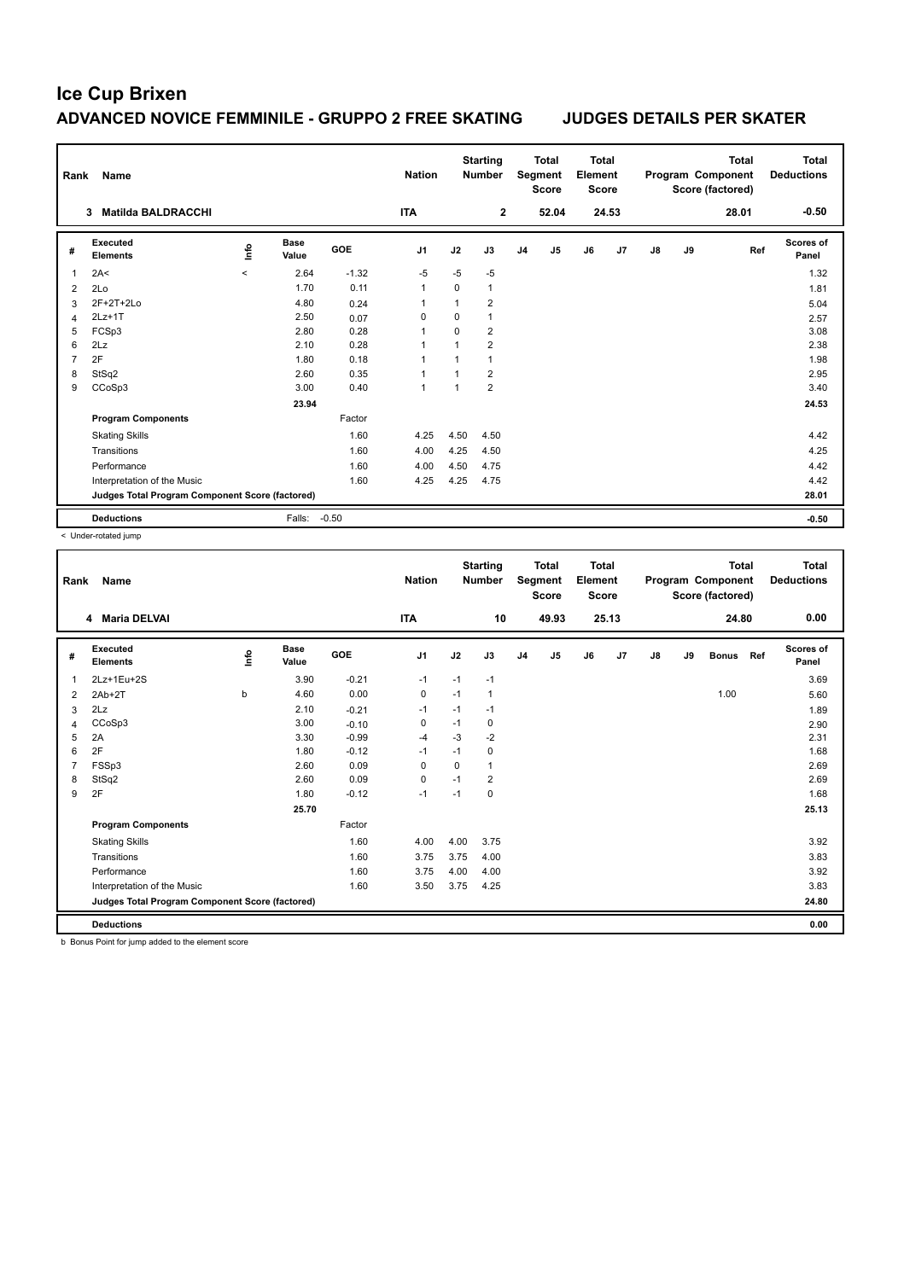| Rank           | <b>Name</b>                                     |         |                      |            | <b>Nation</b>  |             | <b>Starting</b><br><b>Number</b> |                | <b>Total</b><br>Segment<br><b>Score</b> | <b>Total</b><br>Element<br><b>Score</b> |       |               |    | <b>Total</b><br>Program Component<br>Score (factored) | <b>Total</b><br><b>Deductions</b> |
|----------------|-------------------------------------------------|---------|----------------------|------------|----------------|-------------|----------------------------------|----------------|-----------------------------------------|-----------------------------------------|-------|---------------|----|-------------------------------------------------------|-----------------------------------|
|                | <b>Matilda BALDRACCHI</b><br>3                  |         |                      |            | <b>ITA</b>     |             | $\mathbf{2}$                     |                | 52.04                                   |                                         | 24.53 |               |    | 28.01                                                 | $-0.50$                           |
| #              | Executed<br><b>Elements</b>                     | ١nf٥    | <b>Base</b><br>Value | <b>GOE</b> | J <sub>1</sub> | J2          | J3                               | J <sub>4</sub> | J <sub>5</sub>                          | J6                                      | J7    | $\mathsf{J}8$ | J9 | Ref                                                   | <b>Scores of</b><br>Panel         |
| $\overline{1}$ | 2A<                                             | $\prec$ | 2.64                 | $-1.32$    | $-5$           | $-5$        | $-5$                             |                |                                         |                                         |       |               |    |                                                       | 1.32                              |
| $\overline{2}$ | 2Lo                                             |         | 1.70                 | 0.11       | $\overline{1}$ | $\mathbf 0$ | 1                                |                |                                         |                                         |       |               |    |                                                       | 1.81                              |
| 3              | 2F+2T+2Lo                                       |         | 4.80                 | 0.24       | $\overline{1}$ | 1           | $\overline{2}$                   |                |                                         |                                         |       |               |    |                                                       | 5.04                              |
| 4              | $2Lz+1T$                                        |         | 2.50                 | 0.07       | 0              | 0           | $\mathbf{1}$                     |                |                                         |                                         |       |               |    |                                                       | 2.57                              |
| 5              | FCSp3                                           |         | 2.80                 | 0.28       | 1              | $\Omega$    | $\overline{\mathbf{c}}$          |                |                                         |                                         |       |               |    |                                                       | 3.08                              |
| 6              | 2Lz                                             |         | 2.10                 | 0.28       | $\overline{1}$ | 1           | $\overline{2}$                   |                |                                         |                                         |       |               |    |                                                       | 2.38                              |
| $\overline{7}$ | 2F                                              |         | 1.80                 | 0.18       | $\overline{1}$ |             | $\mathbf{1}$                     |                |                                         |                                         |       |               |    |                                                       | 1.98                              |
| 8              | StSq2                                           |         | 2.60                 | 0.35       | 1              | 1           | $\overline{2}$                   |                |                                         |                                         |       |               |    |                                                       | 2.95                              |
| 9              | CCoSp3                                          |         | 3.00                 | 0.40       | -1             | -1          | $\overline{2}$                   |                |                                         |                                         |       |               |    |                                                       | 3.40                              |
|                |                                                 |         | 23.94                |            |                |             |                                  |                |                                         |                                         |       |               |    |                                                       | 24.53                             |
|                | <b>Program Components</b>                       |         |                      | Factor     |                |             |                                  |                |                                         |                                         |       |               |    |                                                       |                                   |
|                | <b>Skating Skills</b>                           |         |                      | 1.60       | 4.25           | 4.50        | 4.50                             |                |                                         |                                         |       |               |    |                                                       | 4.42                              |
|                | Transitions                                     |         |                      | 1.60       | 4.00           | 4.25        | 4.50                             |                |                                         |                                         |       |               |    |                                                       | 4.25                              |
|                | Performance                                     |         |                      | 1.60       | 4.00           | 4.50        | 4.75                             |                |                                         |                                         |       |               |    |                                                       | 4.42                              |
|                | Interpretation of the Music                     |         |                      | 1.60       | 4.25           | 4.25        | 4.75                             |                |                                         |                                         |       |               |    |                                                       | 4.42                              |
|                | Judges Total Program Component Score (factored) |         |                      |            |                |             |                                  |                |                                         |                                         |       |               |    |                                                       | 28.01                             |
|                | <b>Deductions</b>                               |         | Falls:               | $-0.50$    |                |             |                                  |                |                                         |                                         |       |               |    |                                                       | $-0.50$                           |

< Under-rotated jump

| Rank | Name                                            |      |                      |         | <b>Nation</b>  |          | <b>Starting</b><br><b>Number</b> |                | <b>Total</b><br>Segment<br><b>Score</b> | <b>Total</b><br>Element<br><b>Score</b> |       |               |    | <b>Total</b><br>Program Component<br>Score (factored) |     | Total<br><b>Deductions</b> |
|------|-------------------------------------------------|------|----------------------|---------|----------------|----------|----------------------------------|----------------|-----------------------------------------|-----------------------------------------|-------|---------------|----|-------------------------------------------------------|-----|----------------------------|
|      | <b>Maria DELVAI</b><br>4                        |      |                      |         | <b>ITA</b>     |          | 10                               |                | 49.93                                   |                                         | 25.13 |               |    | 24.80                                                 |     | 0.00                       |
| #    | Executed<br><b>Elements</b>                     | lnfo | <b>Base</b><br>Value | GOE     | J <sub>1</sub> | J2       | J3                               | J <sub>4</sub> | J5                                      | J6                                      | J7    | $\mathsf{J}8$ | J9 | <b>Bonus</b>                                          | Ref | Scores of<br>Panel         |
| 1    | 2Lz+1Eu+2S                                      |      | 3.90                 | $-0.21$ | $-1$           | $-1$     | $-1$                             |                |                                         |                                         |       |               |    |                                                       |     | 3.69                       |
| 2    | $2Ab+2T$                                        | b    | 4.60                 | 0.00    | 0              | $-1$     | 1                                |                |                                         |                                         |       |               |    | 1.00                                                  |     | 5.60                       |
| 3    | 2Lz                                             |      | 2.10                 | $-0.21$ | $-1$           | $-1$     | $-1$                             |                |                                         |                                         |       |               |    |                                                       |     | 1.89                       |
| 4    | CCoSp3                                          |      | 3.00                 | $-0.10$ | 0              | $-1$     | 0                                |                |                                         |                                         |       |               |    |                                                       |     | 2.90                       |
| 5    | 2A                                              |      | 3.30                 | $-0.99$ | $-4$           | $-3$     | $-2$                             |                |                                         |                                         |       |               |    |                                                       |     | 2.31                       |
| 6    | 2F                                              |      | 1.80                 | $-0.12$ | $-1$           | $-1$     | 0                                |                |                                         |                                         |       |               |    |                                                       |     | 1.68                       |
|      | FSSp3                                           |      | 2.60                 | 0.09    | $\Omega$       | $\Omega$ | 1                                |                |                                         |                                         |       |               |    |                                                       |     | 2.69                       |
| 8    | StSq2                                           |      | 2.60                 | 0.09    | $\mathbf 0$    | $-1$     | $\overline{2}$                   |                |                                         |                                         |       |               |    |                                                       |     | 2.69                       |
| 9    | 2F                                              |      | 1.80                 | $-0.12$ | $-1$           | $-1$     | 0                                |                |                                         |                                         |       |               |    |                                                       |     | 1.68                       |
|      |                                                 |      | 25.70                |         |                |          |                                  |                |                                         |                                         |       |               |    |                                                       |     | 25.13                      |
|      | <b>Program Components</b>                       |      |                      | Factor  |                |          |                                  |                |                                         |                                         |       |               |    |                                                       |     |                            |
|      | <b>Skating Skills</b>                           |      |                      | 1.60    | 4.00           | 4.00     | 3.75                             |                |                                         |                                         |       |               |    |                                                       |     | 3.92                       |
|      | Transitions                                     |      |                      | 1.60    | 3.75           | 3.75     | 4.00                             |                |                                         |                                         |       |               |    |                                                       |     | 3.83                       |
|      | Performance                                     |      |                      | 1.60    | 3.75           | 4.00     | 4.00                             |                |                                         |                                         |       |               |    |                                                       |     | 3.92                       |
|      | Interpretation of the Music                     |      |                      | 1.60    | 3.50           | 3.75     | 4.25                             |                |                                         |                                         |       |               |    |                                                       |     | 3.83                       |
|      | Judges Total Program Component Score (factored) |      |                      |         |                |          |                                  |                |                                         |                                         |       |               |    |                                                       |     | 24.80                      |
|      | <b>Deductions</b>                               |      |                      |         |                |          |                                  |                |                                         |                                         |       |               |    |                                                       |     | 0.00                       |

b Bonus Point for jump added to the element score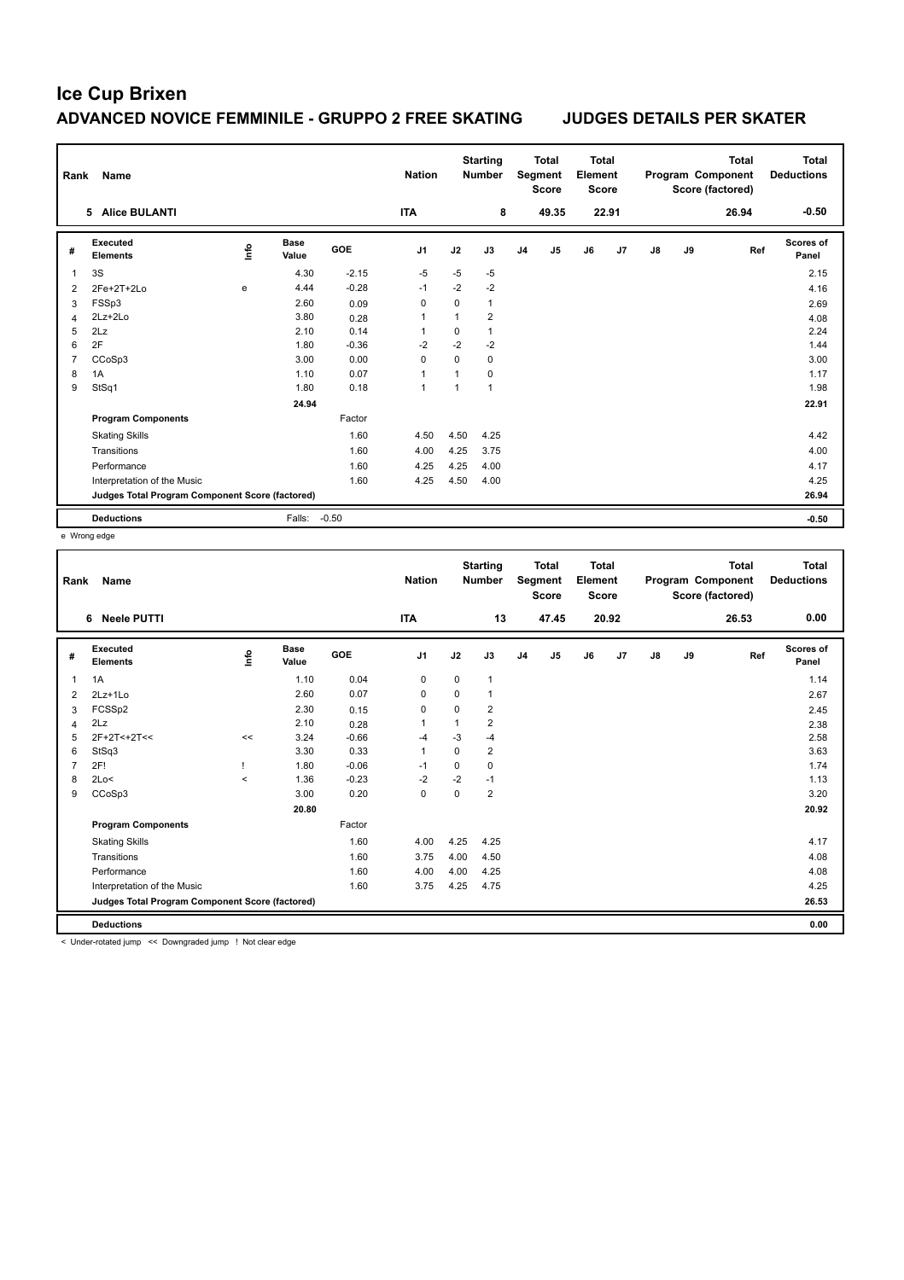| Rank           | <b>Name</b>                                     |    |                      |            | <b>Nation</b>  |              | <b>Starting</b><br><b>Number</b> |                | <b>Total</b><br>Segment<br><b>Score</b> | <b>Total</b><br>Element<br><b>Score</b> |       |    |    | <b>Total</b><br>Program Component<br>Score (factored) | <b>Total</b><br><b>Deductions</b> |
|----------------|-------------------------------------------------|----|----------------------|------------|----------------|--------------|----------------------------------|----------------|-----------------------------------------|-----------------------------------------|-------|----|----|-------------------------------------------------------|-----------------------------------|
|                | 5 Alice BULANTI                                 |    |                      |            | <b>ITA</b>     |              | 8                                |                | 49.35                                   |                                         | 22.91 |    |    | 26.94                                                 | $-0.50$                           |
| #              | <b>Executed</b><br><b>Elements</b>              | ۴ů | <b>Base</b><br>Value | <b>GOE</b> | J <sub>1</sub> | J2           | J3                               | J <sub>4</sub> | J <sub>5</sub>                          | J6                                      | J7    | J8 | J9 | Ref                                                   | Scores of<br>Panel                |
| 1              | 3S                                              |    | 4.30                 | $-2.15$    | $-5$           | $-5$         | $-5$                             |                |                                         |                                         |       |    |    |                                                       | 2.15                              |
| 2              | 2Fe+2T+2Lo                                      | e  | 4.44                 | $-0.28$    | $-1$           | $-2$         | $-2$                             |                |                                         |                                         |       |    |    |                                                       | 4.16                              |
| 3              | FSSp3                                           |    | 2.60                 | 0.09       | 0              | $\Omega$     | $\mathbf{1}$                     |                |                                         |                                         |       |    |    |                                                       | 2.69                              |
| 4              | $2Lz+2Lo$                                       |    | 3.80                 | 0.28       | 1              | $\mathbf{1}$ | $\overline{2}$                   |                |                                         |                                         |       |    |    |                                                       | 4.08                              |
| 5              | 2Lz                                             |    | 2.10                 | 0.14       |                | $\Omega$     | $\mathbf{1}$                     |                |                                         |                                         |       |    |    |                                                       | 2.24                              |
| 6              | 2F                                              |    | 1.80                 | $-0.36$    | $-2$           | $-2$         | $-2$                             |                |                                         |                                         |       |    |    |                                                       | 1.44                              |
| $\overline{7}$ | CCoSp3                                          |    | 3.00                 | 0.00       | $\Omega$       | 0            | $\mathbf 0$                      |                |                                         |                                         |       |    |    |                                                       | 3.00                              |
| 8              | 1A                                              |    | 1.10                 | 0.07       | 1              | $\mathbf{1}$ | $\mathbf 0$                      |                |                                         |                                         |       |    |    |                                                       | 1.17                              |
| 9              | StSq1                                           |    | 1.80                 | 0.18       | 1              | $\mathbf{1}$ | $\mathbf{1}$                     |                |                                         |                                         |       |    |    |                                                       | 1.98                              |
|                |                                                 |    | 24.94                |            |                |              |                                  |                |                                         |                                         |       |    |    |                                                       | 22.91                             |
|                | <b>Program Components</b>                       |    |                      | Factor     |                |              |                                  |                |                                         |                                         |       |    |    |                                                       |                                   |
|                | <b>Skating Skills</b>                           |    |                      | 1.60       | 4.50           | 4.50         | 4.25                             |                |                                         |                                         |       |    |    |                                                       | 4.42                              |
|                | Transitions                                     |    |                      | 1.60       | 4.00           | 4.25         | 3.75                             |                |                                         |                                         |       |    |    |                                                       | 4.00                              |
|                | Performance                                     |    |                      | 1.60       | 4.25           | 4.25         | 4.00                             |                |                                         |                                         |       |    |    |                                                       | 4.17                              |
|                | Interpretation of the Music                     |    |                      | 1.60       | 4.25           | 4.50         | 4.00                             |                |                                         |                                         |       |    |    |                                                       | 4.25                              |
|                | Judges Total Program Component Score (factored) |    |                      |            |                |              |                                  |                |                                         |                                         |       |    |    |                                                       | 26.94                             |
|                | <b>Deductions</b>                               |    | Falls:               | $-0.50$    |                |              |                                  |                |                                         |                                         |       |    |    |                                                       | $-0.50$                           |

e Wrong edge

| <b>Neele PUTTI</b><br><b>ITA</b><br>13<br>47.45<br>20.92<br>26.53<br>6<br>Executed<br><b>Base</b><br>lnfo<br><b>GOE</b><br>J <sub>1</sub><br>J2<br>J <sub>5</sub><br>J7<br>J9<br>Ref<br>J3<br>J <sub>4</sub><br>J6<br>$\mathsf{J}8$<br>#<br><b>Elements</b><br>Value<br>1.10<br>0.04<br>$\mathbf 0$<br>1A<br>0<br>$\mathbf{1}$<br>1<br>2.60<br>0.07<br>0<br>0<br>1<br>$2Lz+1Lo$<br>2<br>2.30<br>FCSSp2<br>0<br>0<br>2<br>0.15<br>3<br>$\overline{\mathbf{c}}$<br>2Lz<br>2.10<br>$\overline{1}$<br>0.28<br>4<br>2F+2T<+2T<<<br>3.24<br>$-0.66$<br>$-3$<br>$-4$<br>5<br>-4<br><< | <b>Total</b><br><b>Deductions</b> |
|--------------------------------------------------------------------------------------------------------------------------------------------------------------------------------------------------------------------------------------------------------------------------------------------------------------------------------------------------------------------------------------------------------------------------------------------------------------------------------------------------------------------------------------------------------------------------------|-----------------------------------|
|                                                                                                                                                                                                                                                                                                                                                                                                                                                                                                                                                                                | 0.00                              |
|                                                                                                                                                                                                                                                                                                                                                                                                                                                                                                                                                                                | <b>Scores of</b><br>Panel         |
|                                                                                                                                                                                                                                                                                                                                                                                                                                                                                                                                                                                | 1.14                              |
|                                                                                                                                                                                                                                                                                                                                                                                                                                                                                                                                                                                | 2.67                              |
|                                                                                                                                                                                                                                                                                                                                                                                                                                                                                                                                                                                | 2.45                              |
|                                                                                                                                                                                                                                                                                                                                                                                                                                                                                                                                                                                | 2.38                              |
|                                                                                                                                                                                                                                                                                                                                                                                                                                                                                                                                                                                | 2.58                              |
| 0.33<br>$\overline{2}$<br>StSq3<br>3.30<br>$\overline{1}$<br>0<br>6                                                                                                                                                                                                                                                                                                                                                                                                                                                                                                            | 3.63                              |
| 2F!<br>$-0.06$<br>0<br>0<br>1.80<br>$-1$                                                                                                                                                                                                                                                                                                                                                                                                                                                                                                                                       | 1.74                              |
| $-2$<br>1.36<br>$-0.23$<br>$-2$<br>2Lo<<br>$-1$<br>8<br>$\hat{}$                                                                                                                                                                                                                                                                                                                                                                                                                                                                                                               | 1.13                              |
| 0.20<br>$\Omega$<br>$\overline{2}$<br>CCoSp3<br>3.00<br>0<br>9                                                                                                                                                                                                                                                                                                                                                                                                                                                                                                                 | 3.20                              |
| 20.80                                                                                                                                                                                                                                                                                                                                                                                                                                                                                                                                                                          | 20.92                             |
| Factor<br><b>Program Components</b>                                                                                                                                                                                                                                                                                                                                                                                                                                                                                                                                            |                                   |
| 4.25<br>1.60<br>4.00<br><b>Skating Skills</b><br>4.25                                                                                                                                                                                                                                                                                                                                                                                                                                                                                                                          | 4.17                              |
| 1.60<br>3.75<br>4.00<br>Transitions<br>4.50                                                                                                                                                                                                                                                                                                                                                                                                                                                                                                                                    | 4.08                              |
| 1.60<br>4.00<br>4.00<br>4.25<br>Performance                                                                                                                                                                                                                                                                                                                                                                                                                                                                                                                                    | 4.08                              |
| 1.60<br>4.25<br>Interpretation of the Music<br>3.75<br>4.75                                                                                                                                                                                                                                                                                                                                                                                                                                                                                                                    | 4.25                              |
| Judges Total Program Component Score (factored)                                                                                                                                                                                                                                                                                                                                                                                                                                                                                                                                | 26.53                             |
| <b>Deductions</b>                                                                                                                                                                                                                                                                                                                                                                                                                                                                                                                                                              | 0.00                              |

< Under-rotated jump << Downgraded jump ! Not clear edge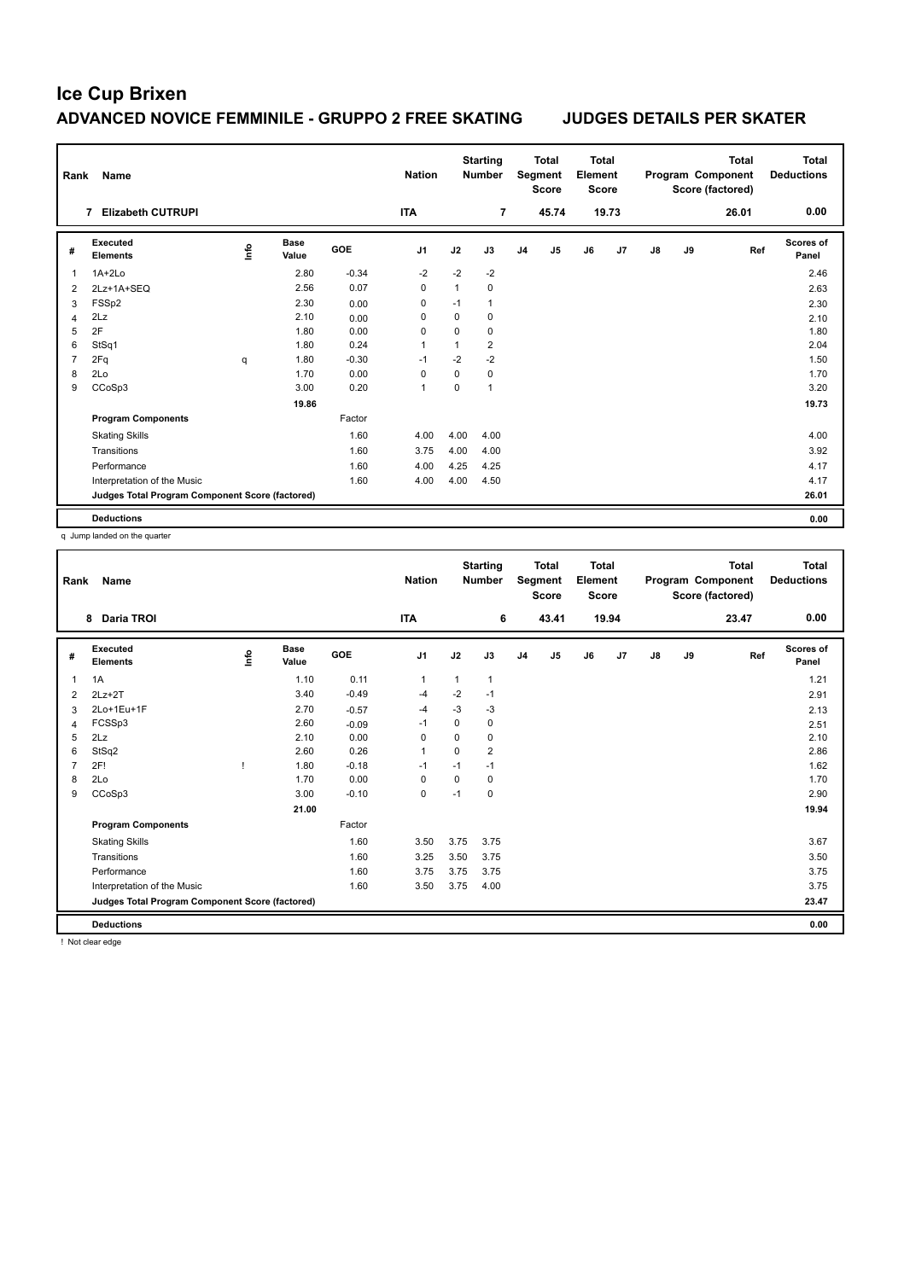| Rank           | Name                                            |    |                      |            | <b>Nation</b>  |              | <b>Starting</b><br><b>Number</b> |                | <b>Total</b><br>Segment<br><b>Score</b> | <b>Total</b><br>Element<br><b>Score</b> |       |               |    | <b>Total</b><br>Program Component<br>Score (factored) | Total<br><b>Deductions</b> |
|----------------|-------------------------------------------------|----|----------------------|------------|----------------|--------------|----------------------------------|----------------|-----------------------------------------|-----------------------------------------|-------|---------------|----|-------------------------------------------------------|----------------------------|
|                | <b>Elizabeth CUTRUPI</b><br>7                   |    |                      |            | <b>ITA</b>     |              | 7                                |                | 45.74                                   |                                         | 19.73 |               |    | 26.01                                                 | 0.00                       |
| #              | Executed<br><b>Elements</b>                     | ۴ů | <b>Base</b><br>Value | <b>GOE</b> | J <sub>1</sub> | J2           | J3                               | J <sub>4</sub> | J <sub>5</sub>                          | J6                                      | J7    | $\mathsf{J}8$ | J9 | Ref                                                   | Scores of<br>Panel         |
| 1              | $1A+2Lo$                                        |    | 2.80                 | $-0.34$    | $-2$           | $-2$         | $-2$                             |                |                                         |                                         |       |               |    |                                                       | 2.46                       |
| 2              | 2Lz+1A+SEQ                                      |    | 2.56                 | 0.07       | $\mathbf 0$    | $\mathbf{1}$ | 0                                |                |                                         |                                         |       |               |    |                                                       | 2.63                       |
| 3              | FSSp2                                           |    | 2.30                 | 0.00       | 0              | $-1$         | 1                                |                |                                         |                                         |       |               |    |                                                       | 2.30                       |
| 4              | 2Lz                                             |    | 2.10                 | 0.00       | 0              | 0            | 0                                |                |                                         |                                         |       |               |    |                                                       | 2.10                       |
| 5              | 2F                                              |    | 1.80                 | 0.00       | 0              | $\Omega$     | $\mathbf 0$                      |                |                                         |                                         |       |               |    |                                                       | 1.80                       |
| 6              | StSq1                                           |    | 1.80                 | 0.24       | 1              | 1            | $\overline{2}$                   |                |                                         |                                         |       |               |    |                                                       | 2.04                       |
| $\overline{7}$ | 2Fq                                             | q  | 1.80                 | $-0.30$    | $-1$           | $-2$         | $-2$                             |                |                                         |                                         |       |               |    |                                                       | 1.50                       |
| 8              | 2Lo                                             |    | 1.70                 | 0.00       | 0              | 0            | 0                                |                |                                         |                                         |       |               |    |                                                       | 1.70                       |
| 9              | CCoSp3                                          |    | 3.00                 | 0.20       | 1              | 0            | 1                                |                |                                         |                                         |       |               |    |                                                       | 3.20                       |
|                |                                                 |    | 19.86                |            |                |              |                                  |                |                                         |                                         |       |               |    |                                                       | 19.73                      |
|                | <b>Program Components</b>                       |    |                      | Factor     |                |              |                                  |                |                                         |                                         |       |               |    |                                                       |                            |
|                | <b>Skating Skills</b>                           |    |                      | 1.60       | 4.00           | 4.00         | 4.00                             |                |                                         |                                         |       |               |    |                                                       | 4.00                       |
|                | Transitions                                     |    |                      | 1.60       | 3.75           | 4.00         | 4.00                             |                |                                         |                                         |       |               |    |                                                       | 3.92                       |
|                | Performance                                     |    |                      | 1.60       | 4.00           | 4.25         | 4.25                             |                |                                         |                                         |       |               |    |                                                       | 4.17                       |
|                | Interpretation of the Music                     |    |                      | 1.60       | 4.00           | 4.00         | 4.50                             |                |                                         |                                         |       |               |    |                                                       | 4.17                       |
|                | Judges Total Program Component Score (factored) |    |                      |            |                |              |                                  |                |                                         |                                         |       |               |    |                                                       | 26.01                      |
|                | <b>Deductions</b>                               |    |                      |            |                |              |                                  |                |                                         |                                         |       |               |    |                                                       | 0.00                       |

q Jump landed on the quarter

| Rank | Name                                            |       |                      |            | <b>Nation</b>  |              | <b>Starting</b><br><b>Number</b> |                | <b>Total</b><br>Segment<br><b>Score</b> | <b>Total</b><br>Element<br><b>Score</b> |       |               |    | <b>Total</b><br>Program Component<br>Score (factored) | Total<br><b>Deductions</b> |
|------|-------------------------------------------------|-------|----------------------|------------|----------------|--------------|----------------------------------|----------------|-----------------------------------------|-----------------------------------------|-------|---------------|----|-------------------------------------------------------|----------------------------|
|      | <b>Daria TROI</b><br>8                          |       |                      |            | <b>ITA</b>     |              | 6                                |                | 43.41                                   |                                         | 19.94 |               |    | 23.47                                                 | 0.00                       |
| #    | Executed<br><b>Elements</b>                     | Linfo | <b>Base</b><br>Value | <b>GOE</b> | J <sub>1</sub> | J2           | J3                               | J <sub>4</sub> | J <sub>5</sub>                          | J6                                      | J7    | $\mathsf{J}8$ | J9 | Ref                                                   | Scores of<br>Panel         |
| 1    | 1A                                              |       | 1.10                 | 0.11       | $\mathbf{1}$   | $\mathbf{1}$ | $\mathbf{1}$                     |                |                                         |                                         |       |               |    |                                                       | 1.21                       |
| 2    | $2Lz + 2T$                                      |       | 3.40                 | $-0.49$    | $-4$           | $-2$         | $-1$                             |                |                                         |                                         |       |               |    |                                                       | 2.91                       |
| 3    | 2Lo+1Eu+1F                                      |       | 2.70                 | $-0.57$    | $-4$           | $-3$         | -3                               |                |                                         |                                         |       |               |    |                                                       | 2.13                       |
| 4    | FCSSp3                                          |       | 2.60                 | $-0.09$    | $-1$           | 0            | 0                                |                |                                         |                                         |       |               |    |                                                       | 2.51                       |
| 5    | 2Lz                                             |       | 2.10                 | 0.00       | $\mathbf 0$    | 0            | $\mathbf 0$                      |                |                                         |                                         |       |               |    |                                                       | 2.10                       |
| 6    | StSq2                                           |       | 2.60                 | 0.26       | $\mathbf{1}$   | $\mathbf 0$  | $\overline{2}$                   |                |                                         |                                         |       |               |    |                                                       | 2.86                       |
| 7    | 2F!                                             |       | 1.80                 | $-0.18$    | $-1$           | $-1$         | $-1$                             |                |                                         |                                         |       |               |    |                                                       | 1.62                       |
| 8    | 2Lo                                             |       | 1.70                 | 0.00       | 0              | 0            | 0                                |                |                                         |                                         |       |               |    |                                                       | 1.70                       |
| 9    | CCoSp3                                          |       | 3.00                 | $-0.10$    | $\mathbf 0$    | $-1$         | $\mathbf 0$                      |                |                                         |                                         |       |               |    |                                                       | 2.90                       |
|      |                                                 |       | 21.00                |            |                |              |                                  |                |                                         |                                         |       |               |    |                                                       | 19.94                      |
|      | <b>Program Components</b>                       |       |                      | Factor     |                |              |                                  |                |                                         |                                         |       |               |    |                                                       |                            |
|      | <b>Skating Skills</b>                           |       |                      | 1.60       | 3.50           | 3.75         | 3.75                             |                |                                         |                                         |       |               |    |                                                       | 3.67                       |
|      | Transitions                                     |       |                      | 1.60       | 3.25           | 3.50         | 3.75                             |                |                                         |                                         |       |               |    |                                                       | 3.50                       |
|      | Performance                                     |       |                      | 1.60       | 3.75           | 3.75         | 3.75                             |                |                                         |                                         |       |               |    |                                                       | 3.75                       |
|      | Interpretation of the Music                     |       |                      | 1.60       | 3.50           | 3.75         | 4.00                             |                |                                         |                                         |       |               |    |                                                       | 3.75                       |
|      | Judges Total Program Component Score (factored) |       |                      |            |                |              |                                  |                |                                         |                                         |       |               |    |                                                       | 23.47                      |
|      | <b>Deductions</b>                               |       |                      |            |                |              |                                  |                |                                         |                                         |       |               |    |                                                       | 0.00                       |

! Not clear edge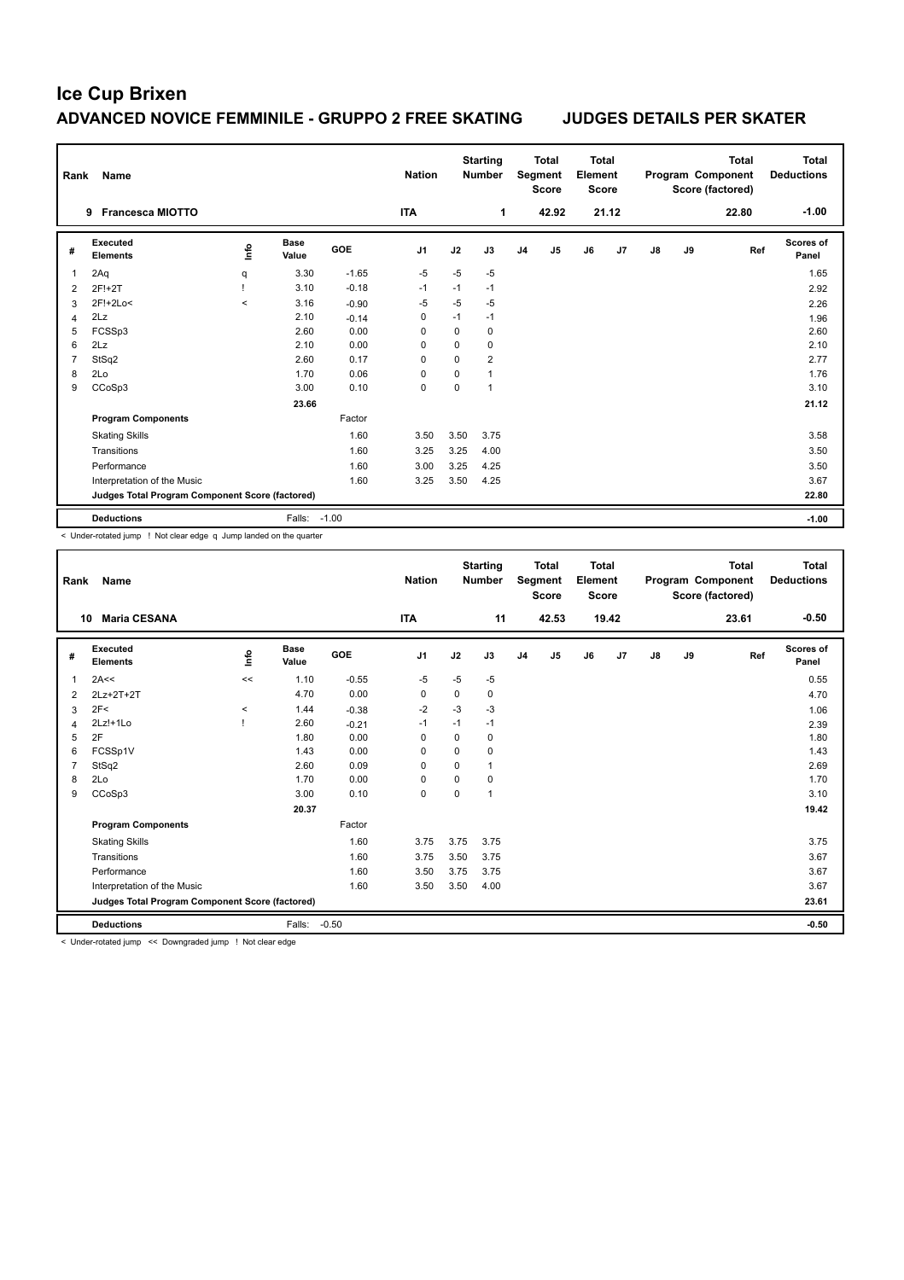| Rank           | <b>Name</b>                                     |         |                      |            | <b>Nation</b>  |          | <b>Starting</b><br><b>Number</b> |                | <b>Total</b><br>Segment<br><b>Score</b> | <b>Total</b><br>Element<br><b>Score</b> |       |    |    | <b>Total</b><br>Program Component<br>Score (factored) | <b>Total</b><br><b>Deductions</b> |
|----------------|-------------------------------------------------|---------|----------------------|------------|----------------|----------|----------------------------------|----------------|-----------------------------------------|-----------------------------------------|-------|----|----|-------------------------------------------------------|-----------------------------------|
|                | <b>Francesca MIOTTO</b><br>9                    |         |                      |            | <b>ITA</b>     |          | 1                                |                | 42.92                                   |                                         | 21.12 |    |    | 22.80                                                 | $-1.00$                           |
| #              | Executed<br><b>Elements</b>                     | lnfo    | <b>Base</b><br>Value | <b>GOE</b> | J <sub>1</sub> | J2       | J3                               | J <sub>4</sub> | J <sub>5</sub>                          | J6                                      | J7    | J8 | J9 | Ref                                                   | Scores of<br>Panel                |
| $\overline{1}$ | 2Aq                                             | q       | 3.30                 | $-1.65$    | $-5$           | $-5$     | $-5$                             |                |                                         |                                         |       |    |    |                                                       | 1.65                              |
| $\overline{2}$ | 2F!+2T                                          |         | 3.10                 | $-0.18$    | $-1$           | $-1$     | $-1$                             |                |                                         |                                         |       |    |    |                                                       | 2.92                              |
| 3              | 2F!+2Lo<                                        | $\prec$ | 3.16                 | $-0.90$    | $-5$           | $-5$     | $-5$                             |                |                                         |                                         |       |    |    |                                                       | 2.26                              |
| $\overline{4}$ | 2Lz                                             |         | 2.10                 | $-0.14$    | 0              | $-1$     | $-1$                             |                |                                         |                                         |       |    |    |                                                       | 1.96                              |
| 5              | FCSSp3                                          |         | 2.60                 | 0.00       | $\Omega$       | $\Omega$ | 0                                |                |                                         |                                         |       |    |    |                                                       | 2.60                              |
| 6              | 2Lz                                             |         | 2.10                 | 0.00       | $\Omega$       | $\Omega$ | $\mathbf 0$                      |                |                                         |                                         |       |    |    |                                                       | 2.10                              |
| $\overline{7}$ | StSq2                                           |         | 2.60                 | 0.17       | $\Omega$       | $\Omega$ | $\overline{2}$                   |                |                                         |                                         |       |    |    |                                                       | 2.77                              |
| 8              | 2Lo                                             |         | 1.70                 | 0.06       | 0              | 0        | $\mathbf{1}$                     |                |                                         |                                         |       |    |    |                                                       | 1.76                              |
| 9              | CCoSp3                                          |         | 3.00                 | 0.10       | 0              | 0        | $\mathbf{1}$                     |                |                                         |                                         |       |    |    |                                                       | 3.10                              |
|                |                                                 |         | 23.66                |            |                |          |                                  |                |                                         |                                         |       |    |    |                                                       | 21.12                             |
|                | <b>Program Components</b>                       |         |                      | Factor     |                |          |                                  |                |                                         |                                         |       |    |    |                                                       |                                   |
|                | <b>Skating Skills</b>                           |         |                      | 1.60       | 3.50           | 3.50     | 3.75                             |                |                                         |                                         |       |    |    |                                                       | 3.58                              |
|                | Transitions                                     |         |                      | 1.60       | 3.25           | 3.25     | 4.00                             |                |                                         |                                         |       |    |    |                                                       | 3.50                              |
|                | Performance                                     |         |                      | 1.60       | 3.00           | 3.25     | 4.25                             |                |                                         |                                         |       |    |    |                                                       | 3.50                              |
|                | Interpretation of the Music                     |         |                      | 1.60       | 3.25           | 3.50     | 4.25                             |                |                                         |                                         |       |    |    |                                                       | 3.67                              |
|                | Judges Total Program Component Score (factored) |         |                      |            |                |          |                                  |                |                                         |                                         |       |    |    |                                                       | 22.80                             |
|                | <b>Deductions</b>                               |         | Falls: -1.00         |            |                |          |                                  |                |                                         |                                         |       |    |    |                                                       | $-1.00$                           |

< Under-rotated jump ! Not clear edge q Jump landed on the quarter

| Rank           | Name                                            |       |                      |            | <b>Nation</b>  |             | <b>Starting</b><br><b>Number</b> |                | <b>Total</b><br>Segment<br><b>Score</b> | Total<br>Element<br><b>Score</b> |                |               |    | <b>Total</b><br>Program Component<br>Score (factored) | Total<br><b>Deductions</b> |
|----------------|-------------------------------------------------|-------|----------------------|------------|----------------|-------------|----------------------------------|----------------|-----------------------------------------|----------------------------------|----------------|---------------|----|-------------------------------------------------------|----------------------------|
| 10             | <b>Maria CESANA</b>                             |       |                      |            | <b>ITA</b>     |             | 11                               |                | 42.53                                   |                                  | 19.42          |               |    | 23.61                                                 | $-0.50$                    |
| #              | Executed<br><b>Elements</b>                     | lnfo  | <b>Base</b><br>Value | <b>GOE</b> | J <sub>1</sub> | J2          | J3                               | J <sub>4</sub> | J <sub>5</sub>                          | J6                               | J <sub>7</sub> | $\mathsf{J}8$ | J9 | Ref                                                   | Scores of<br>Panel         |
| $\mathbf{1}$   | 2A<<                                            | $\,<$ | 1.10                 | $-0.55$    | $-5$           | $-5$        | $-5$                             |                |                                         |                                  |                |               |    |                                                       | 0.55                       |
| $\overline{2}$ | 2Lz+2T+2T                                       |       | 4.70                 | 0.00       | 0              | 0           | 0                                |                |                                         |                                  |                |               |    |                                                       | 4.70                       |
| 3              | 2F<                                             | $\,<$ | 1.44                 | $-0.38$    | $-2$           | $-3$        | $-3$                             |                |                                         |                                  |                |               |    |                                                       | 1.06                       |
| 4              | $2Lz! + 1Lo$                                    |       | 2.60                 | $-0.21$    | $-1$           | $-1$        | $-1$                             |                |                                         |                                  |                |               |    |                                                       | 2.39                       |
| 5              | 2F                                              |       | 1.80                 | 0.00       | 0              | $\mathbf 0$ | $\mathbf 0$                      |                |                                         |                                  |                |               |    |                                                       | 1.80                       |
| 6              | FCSSp1V                                         |       | 1.43                 | 0.00       | 0              | 0           | 0                                |                |                                         |                                  |                |               |    |                                                       | 1.43                       |
| $\overline{7}$ | StSq2                                           |       | 2.60                 | 0.09       | $\Omega$       | $\Omega$    | $\mathbf{1}$                     |                |                                         |                                  |                |               |    |                                                       | 2.69                       |
| 8              | 2Lo                                             |       | 1.70                 | 0.00       | $\Omega$       | $\Omega$    | $\Omega$                         |                |                                         |                                  |                |               |    |                                                       | 1.70                       |
| 9              | CCoSp3                                          |       | 3.00                 | 0.10       | $\mathbf 0$    | $\mathbf 0$ | 1                                |                |                                         |                                  |                |               |    |                                                       | 3.10                       |
|                |                                                 |       | 20.37                |            |                |             |                                  |                |                                         |                                  |                |               |    |                                                       | 19.42                      |
|                | <b>Program Components</b>                       |       |                      | Factor     |                |             |                                  |                |                                         |                                  |                |               |    |                                                       |                            |
|                | <b>Skating Skills</b>                           |       |                      | 1.60       | 3.75           | 3.75        | 3.75                             |                |                                         |                                  |                |               |    |                                                       | 3.75                       |
|                | Transitions                                     |       |                      | 1.60       | 3.75           | 3.50        | 3.75                             |                |                                         |                                  |                |               |    |                                                       | 3.67                       |
|                | Performance                                     |       |                      | 1.60       | 3.50           | 3.75        | 3.75                             |                |                                         |                                  |                |               |    |                                                       | 3.67                       |
|                | Interpretation of the Music                     |       |                      | 1.60       | 3.50           | 3.50        | 4.00                             |                |                                         |                                  |                |               |    |                                                       | 3.67                       |
|                | Judges Total Program Component Score (factored) |       |                      |            |                |             |                                  |                |                                         |                                  |                |               |    |                                                       | 23.61                      |
|                | <b>Deductions</b>                               |       | Falls:               | $-0.50$    |                |             |                                  |                |                                         |                                  |                |               |    |                                                       | $-0.50$                    |

< Under-rotated jump << Downgraded jump ! Not clear edge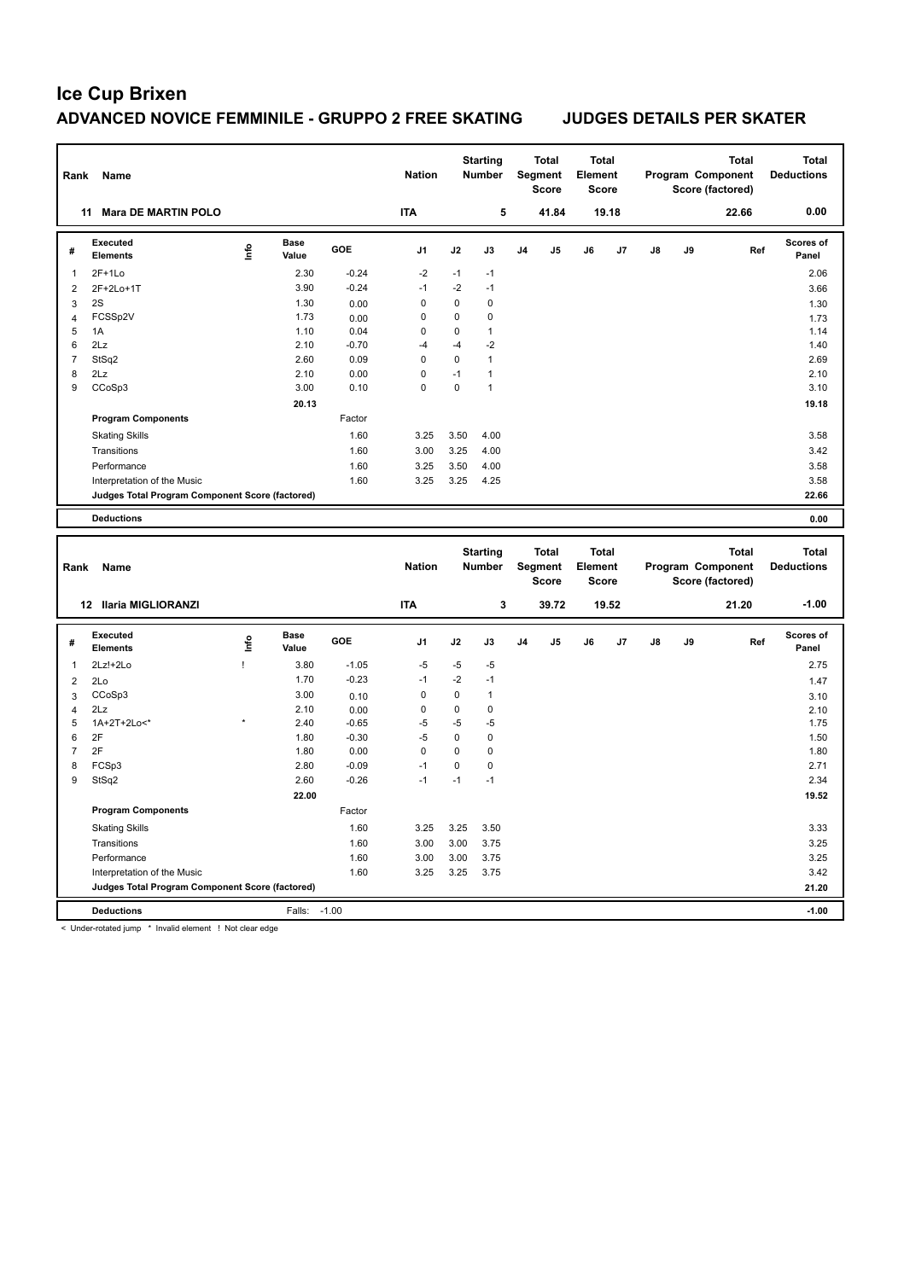| Rank                    | Name                                            |             |                      |         | <b>Nation</b> |             | <b>Starting</b><br><b>Number</b> |    | <b>Total</b><br>Segment<br>Score | <b>Total</b><br>Element<br>Score |       |    |    | <b>Total</b><br>Program Component<br>Score (factored) |     | <b>Total</b><br><b>Deductions</b> |
|-------------------------|-------------------------------------------------|-------------|----------------------|---------|---------------|-------------|----------------------------------|----|----------------------------------|----------------------------------|-------|----|----|-------------------------------------------------------|-----|-----------------------------------|
|                         | <b>Mara DE MARTIN POLO</b><br>11                |             |                      |         | <b>ITA</b>    |             | 5                                |    | 41.84                            |                                  | 19.18 |    |    | 22.66                                                 |     | 0.00                              |
| #                       | <b>Executed</b><br><b>Elements</b>              | <u>lnfo</u> | <b>Base</b><br>Value | GOE     | J1            | J2          | J3                               | J4 | J5                               | J6                               | J7    | J8 | J9 |                                                       | Ref | <b>Scores of</b><br>Panel         |
| 1                       | $2F+1Lo$                                        |             | 2.30                 | $-0.24$ | $-2$          | $-1$        | $-1$                             |    |                                  |                                  |       |    |    |                                                       |     | 2.06                              |
| $\mathbf 2$             | 2F+2Lo+1T                                       |             | 3.90                 | $-0.24$ | $-1$          | $-2$        | $-1$                             |    |                                  |                                  |       |    |    |                                                       |     | 3.66                              |
| 3                       | 2S                                              |             | 1.30                 | 0.00    | 0             | $\mathbf 0$ | $\mathbf 0$                      |    |                                  |                                  |       |    |    |                                                       |     | 1.30                              |
| $\overline{4}$          | FCSSp2V                                         |             | 1.73                 | 0.00    | $\pmb{0}$     | $\mathsf 0$ | $\mathbf 0$                      |    |                                  |                                  |       |    |    |                                                       |     | 1.73                              |
| 5                       | 1A                                              |             | 1.10                 | 0.04    | 0             | $\mathbf 0$ | $\mathbf{1}$                     |    |                                  |                                  |       |    |    |                                                       |     | 1.14                              |
| 6                       | 2Lz                                             |             | 2.10                 | $-0.70$ | $-4$          | $-4$        | $-2$                             |    |                                  |                                  |       |    |    |                                                       |     | 1.40                              |
| $\overline{7}$          | StSq2                                           |             | 2.60                 | 0.09    | $\mathsf 0$   | $\mathbf 0$ | $\mathbf{1}$                     |    |                                  |                                  |       |    |    |                                                       |     | 2.69                              |
| 8                       | 2Lz                                             |             | 2.10                 | 0.00    | 0             | $-1$        | $\mathbf{1}$                     |    |                                  |                                  |       |    |    |                                                       |     | 2.10                              |
| 9                       | CCoSp3                                          |             | 3.00                 | 0.10    | $\mathbf 0$   | $\mathsf 0$ | $\mathbf{1}$                     |    |                                  |                                  |       |    |    |                                                       |     | 3.10                              |
|                         |                                                 |             | 20.13                |         |               |             |                                  |    |                                  |                                  |       |    |    |                                                       |     | 19.18                             |
|                         | <b>Program Components</b>                       |             |                      | Factor  |               |             |                                  |    |                                  |                                  |       |    |    |                                                       |     |                                   |
|                         | <b>Skating Skills</b>                           |             |                      | 1.60    | 3.25          | 3.50        | 4.00                             |    |                                  |                                  |       |    |    |                                                       |     | 3.58                              |
|                         | Transitions                                     |             |                      | 1.60    | 3.00          | 3.25        | 4.00                             |    |                                  |                                  |       |    |    |                                                       |     | 3.42                              |
|                         | Performance                                     |             |                      | 1.60    | 3.25          | 3.50        | 4.00                             |    |                                  |                                  |       |    |    |                                                       |     | 3.58                              |
|                         | Interpretation of the Music                     |             |                      | 1.60    | 3.25          | 3.25        | 4.25                             |    |                                  |                                  |       |    |    |                                                       |     | 3.58                              |
|                         | Judges Total Program Component Score (factored) |             |                      |         |               |             |                                  |    |                                  |                                  |       |    |    |                                                       |     | 22.66                             |
|                         | <b>Deductions</b>                               |             |                      |         |               |             |                                  |    |                                  |                                  |       |    |    |                                                       |     | 0.00                              |
|                         |                                                 |             |                      |         |               |             |                                  |    |                                  |                                  |       |    |    |                                                       |     |                                   |
| Rank                    | Name                                            |             |                      |         | <b>Nation</b> |             | <b>Starting</b><br><b>Number</b> |    | <b>Total</b><br>Segment<br>Score | <b>Total</b><br>Element<br>Score |       |    |    | <b>Total</b><br>Program Component<br>Score (factored) |     | <b>Total</b><br><b>Deductions</b> |
|                         | 12 Ilaria MIGLIORANZI                           |             |                      |         | <b>ITA</b>    |             | $\mathbf 3$                      |    | 39.72                            |                                  | 19.52 |    |    | 21.20                                                 |     | $-1.00$                           |
| #                       | <b>Executed</b><br><b>Elements</b>              | Life        | <b>Base</b><br>Value | GOE     | J1            | J2          | J3                               | J4 | J5                               | J6                               | J7    | J8 | J9 |                                                       | Ref | <b>Scores of</b><br>Panel         |
| 1                       | 2Lz!+2Lo                                        | Ţ           | 3.80                 | $-1.05$ | $-5$          | $-5$        | $-5$                             |    |                                  |                                  |       |    |    |                                                       |     | 2.75                              |
| $\overline{\mathbf{c}}$ | 2Lo                                             |             | 1.70                 | $-0.23$ | $-1$          | $-2$        | $-1$                             |    |                                  |                                  |       |    |    |                                                       |     | 1.47                              |
| 3                       | CCoSp3                                          |             | 3.00                 | 0.10    | 0             | $\mathbf 0$ | $\mathbf{1}$                     |    |                                  |                                  |       |    |    |                                                       |     | 3.10                              |
| $\overline{4}$          | 2Lz                                             |             | 2.10                 | 0.00    | $\pmb{0}$     | $\mathsf 0$ | $\pmb{0}$                        |    |                                  |                                  |       |    |    |                                                       |     | 2.10                              |
| 5                       | 1A+2T+2Lo<*                                     |             | 2.40                 | $-0.65$ | $-5$          | $-5$        | $-5$                             |    |                                  |                                  |       |    |    |                                                       |     | 1.75                              |
| 6                       | 2F                                              |             | 1.80                 | $-0.30$ | $-5$          | $\mathbf 0$ | 0                                |    |                                  |                                  |       |    |    |                                                       |     | 1.50                              |
| $\overline{7}$          | 2F                                              |             | 1.80                 | 0.00    | $\pmb{0}$     | $\mathbf 0$ | $\pmb{0}$                        |    |                                  |                                  |       |    |    |                                                       |     | 1.80                              |
| 8                       | FCSp3                                           |             | 2.80                 | $-0.09$ | $-1$          | $\mathsf 0$ | $\mathbf 0$                      |    |                                  |                                  |       |    |    |                                                       |     | 2.71                              |
| 9                       | StSq2                                           |             | 2.60                 | $-0.26$ | $-1$          | $-1$        | $-1$                             |    |                                  |                                  |       |    |    |                                                       |     | 2.34                              |
|                         |                                                 |             | 22.00                |         |               |             |                                  |    |                                  |                                  |       |    |    |                                                       |     | 19.52                             |
|                         | <b>Program Components</b>                       |             |                      | Factor  |               |             |                                  |    |                                  |                                  |       |    |    |                                                       |     |                                   |
|                         | <b>Skating Skills</b>                           |             |                      | 1.60    | 3.25          | 3.25        | 3.50                             |    |                                  |                                  |       |    |    |                                                       |     | 3.33                              |
|                         | Transitions                                     |             |                      | 1.60    | 3.00          | 3.00        | 3.75                             |    |                                  |                                  |       |    |    |                                                       |     | 3.25                              |
|                         | Performance                                     |             |                      | 1.60    | 3.00          | 3.00        | 3.75                             |    |                                  |                                  |       |    |    |                                                       |     | 3.25                              |
|                         | Interpretation of the Music                     |             |                      | 1.60    | 3.25          | 3.25        | 3.75                             |    |                                  |                                  |       |    |    |                                                       |     | 3.42                              |
|                         | Judges Total Program Component Score (factored) |             |                      |         |               |             |                                  |    |                                  |                                  |       |    |    |                                                       |     | 21.20                             |

< Under-rotated jump \* Invalid element ! Not clear edge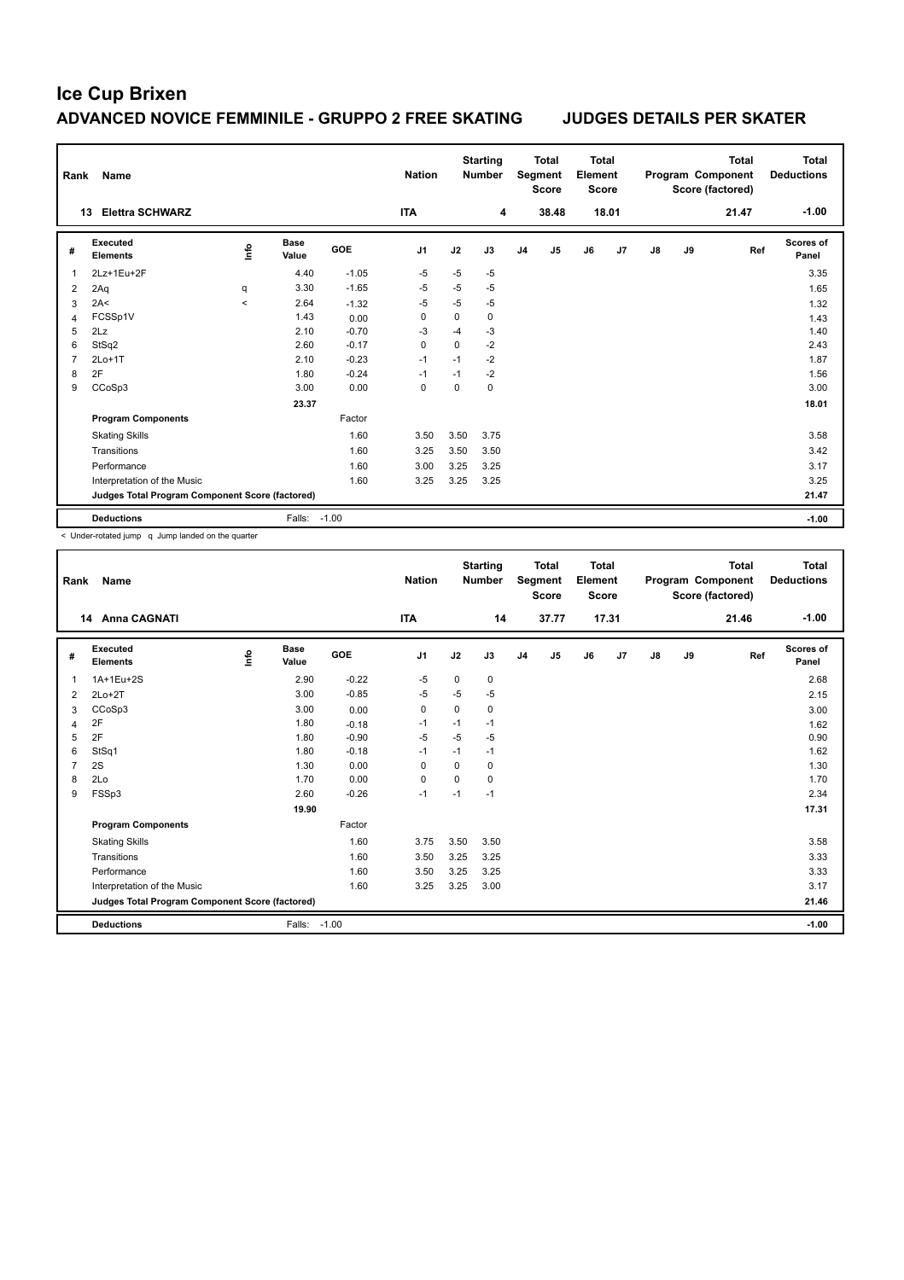| Rank           | <b>Name</b>                                     |         |                      |            | <b>Nation</b>  |      | <b>Starting</b><br><b>Number</b> |                | <b>Total</b><br>Segment<br><b>Score</b> | <b>Total</b><br>Element<br><b>Score</b> |       |               |    | <b>Total</b><br>Program Component<br>Score (factored) | <b>Total</b><br><b>Deductions</b> |
|----------------|-------------------------------------------------|---------|----------------------|------------|----------------|------|----------------------------------|----------------|-----------------------------------------|-----------------------------------------|-------|---------------|----|-------------------------------------------------------|-----------------------------------|
|                | <b>Elettra SCHWARZ</b><br>13                    |         |                      |            | <b>ITA</b>     |      | 4                                |                | 38.48                                   |                                         | 18.01 |               |    | 21.47                                                 | $-1.00$                           |
| #              | Executed<br><b>Elements</b>                     | lnfo    | <b>Base</b><br>Value | <b>GOE</b> | J <sub>1</sub> | J2   | J3                               | J <sub>4</sub> | J <sub>5</sub>                          | J6                                      | J7    | $\mathsf{J}8$ | J9 | Ref                                                   | <b>Scores of</b><br>Panel         |
| 1              | 2Lz+1Eu+2F                                      |         | 4.40                 | $-1.05$    | $-5$           | $-5$ | $-5$                             |                |                                         |                                         |       |               |    |                                                       | 3.35                              |
| 2              | 2Aq                                             | q       | 3.30                 | $-1.65$    | $-5$           | $-5$ | $-5$                             |                |                                         |                                         |       |               |    |                                                       | 1.65                              |
| 3              | 2A<                                             | $\prec$ | 2.64                 | $-1.32$    | $-5$           | $-5$ | $-5$                             |                |                                         |                                         |       |               |    |                                                       | 1.32                              |
| $\overline{4}$ | FCSSp1V                                         |         | 1.43                 | 0.00       | 0              | 0    | $\mathbf 0$                      |                |                                         |                                         |       |               |    |                                                       | 1.43                              |
| 5              | 2Lz                                             |         | 2.10                 | $-0.70$    | $-3$           | $-4$ | $-3$                             |                |                                         |                                         |       |               |    |                                                       | 1.40                              |
| 6              | StSq2                                           |         | 2.60                 | $-0.17$    | 0              | 0    | $-2$                             |                |                                         |                                         |       |               |    |                                                       | 2.43                              |
| $\overline{7}$ | $2Lo+1T$                                        |         | 2.10                 | $-0.23$    | $-1$           | $-1$ | $-2$                             |                |                                         |                                         |       |               |    |                                                       | 1.87                              |
| 8              | 2F                                              |         | 1.80                 | $-0.24$    | $-1$           | $-1$ | $-2$                             |                |                                         |                                         |       |               |    |                                                       | 1.56                              |
| 9              | CCoSp3                                          |         | 3.00                 | 0.00       | 0              | 0    | 0                                |                |                                         |                                         |       |               |    |                                                       | 3.00                              |
|                |                                                 |         | 23.37                |            |                |      |                                  |                |                                         |                                         |       |               |    |                                                       | 18.01                             |
|                | <b>Program Components</b>                       |         |                      | Factor     |                |      |                                  |                |                                         |                                         |       |               |    |                                                       |                                   |
|                | <b>Skating Skills</b>                           |         |                      | 1.60       | 3.50           | 3.50 | 3.75                             |                |                                         |                                         |       |               |    |                                                       | 3.58                              |
|                | Transitions                                     |         |                      | 1.60       | 3.25           | 3.50 | 3.50                             |                |                                         |                                         |       |               |    |                                                       | 3.42                              |
|                | Performance                                     |         |                      | 1.60       | 3.00           | 3.25 | 3.25                             |                |                                         |                                         |       |               |    |                                                       | 3.17                              |
|                | Interpretation of the Music                     |         |                      | 1.60       | 3.25           | 3.25 | 3.25                             |                |                                         |                                         |       |               |    |                                                       | 3.25                              |
|                | Judges Total Program Component Score (factored) |         |                      |            |                |      |                                  |                |                                         |                                         |       |               |    |                                                       | 21.47                             |
|                | <b>Deductions</b>                               |         | Falls:               | $-1.00$    |                |      |                                  |                |                                         |                                         |       |               |    |                                                       | $-1.00$                           |

< Under-rotated jump q Jump landed on the quarter

| Rank | <b>Name</b>                                     |      |                      |            | <b>Nation</b>  |          | <b>Starting</b><br><b>Number</b> |                | <b>Total</b><br>Segment<br><b>Score</b> | Total<br>Element<br><b>Score</b> |       |               |    | <b>Total</b><br>Program Component<br>Score (factored) | Total<br><b>Deductions</b> |
|------|-------------------------------------------------|------|----------------------|------------|----------------|----------|----------------------------------|----------------|-----------------------------------------|----------------------------------|-------|---------------|----|-------------------------------------------------------|----------------------------|
|      | <b>Anna CAGNATI</b><br>14                       |      |                      |            | <b>ITA</b>     |          | 14                               |                | 37.77                                   |                                  | 17.31 |               |    | 21.46                                                 | $-1.00$                    |
| #    | Executed<br><b>Elements</b>                     | Info | <b>Base</b><br>Value | <b>GOE</b> | J <sub>1</sub> | J2       | J3                               | J <sub>4</sub> | J5                                      | J6                               | J7    | $\mathsf{J}8$ | J9 | Ref                                                   | Scores of<br>Panel         |
| 1    | 1A+1Eu+2S                                       |      | 2.90                 | $-0.22$    | $-5$           | 0        | 0                                |                |                                         |                                  |       |               |    |                                                       | 2.68                       |
| 2    | $2Lo+2T$                                        |      | 3.00                 | $-0.85$    | $-5$           | $-5$     | $-5$                             |                |                                         |                                  |       |               |    |                                                       | 2.15                       |
| 3    | CCoSp3                                          |      | 3.00                 | 0.00       | 0              | 0        | 0                                |                |                                         |                                  |       |               |    |                                                       | 3.00                       |
| 4    | 2F                                              |      | 1.80                 | $-0.18$    | $-1$           | $-1$     | $-1$                             |                |                                         |                                  |       |               |    |                                                       | 1.62                       |
| 5    | 2F                                              |      | 1.80                 | $-0.90$    | $-5$           | $-5$     | $-5$                             |                |                                         |                                  |       |               |    |                                                       | 0.90                       |
| 6    | StSq1                                           |      | 1.80                 | $-0.18$    | $-1$           | $-1$     | $-1$                             |                |                                         |                                  |       |               |    |                                                       | 1.62                       |
| 7    | 2S                                              |      | 1.30                 | 0.00       | 0              | 0        | 0                                |                |                                         |                                  |       |               |    |                                                       | 1.30                       |
| 8    | 2Lo                                             |      | 1.70                 | 0.00       | $\Omega$       | $\Omega$ | 0                                |                |                                         |                                  |       |               |    |                                                       | 1.70                       |
| 9    | FSSp3                                           |      | 2.60                 | $-0.26$    | $-1$           | $-1$     | $-1$                             |                |                                         |                                  |       |               |    |                                                       | 2.34                       |
|      |                                                 |      | 19.90                |            |                |          |                                  |                |                                         |                                  |       |               |    |                                                       | 17.31                      |
|      | <b>Program Components</b>                       |      |                      | Factor     |                |          |                                  |                |                                         |                                  |       |               |    |                                                       |                            |
|      | <b>Skating Skills</b>                           |      |                      | 1.60       | 3.75           | 3.50     | 3.50                             |                |                                         |                                  |       |               |    |                                                       | 3.58                       |
|      | Transitions                                     |      |                      | 1.60       | 3.50           | 3.25     | 3.25                             |                |                                         |                                  |       |               |    |                                                       | 3.33                       |
|      | Performance                                     |      |                      | 1.60       | 3.50           | 3.25     | 3.25                             |                |                                         |                                  |       |               |    |                                                       | 3.33                       |
|      | Interpretation of the Music                     |      |                      | 1.60       | 3.25           | 3.25     | 3.00                             |                |                                         |                                  |       |               |    |                                                       | 3.17                       |
|      | Judges Total Program Component Score (factored) |      |                      |            |                |          |                                  |                |                                         |                                  |       |               |    |                                                       | 21.46                      |
|      | <b>Deductions</b>                               |      | Falls:               | $-1.00$    |                |          |                                  |                |                                         |                                  |       |               |    |                                                       | $-1.00$                    |